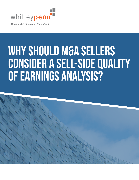

# WHY SHOULD M&A SELLERS CONSIDER A SELL-SIDE QUALITY of Earnings Analysis?

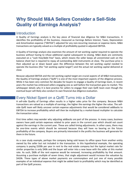# **Why Should M&A Sellers Consider a Sell-Side Quality of Earnings Analysis?**

#### **Introduction**

A Quality of Earnings analysis is the key piece of financial due diligence for M&A transactions. It identifies the profitability of the business, measured as Earnings Before Interest, Taxes, Depreciation and Amortization expense ("EBITDA") adjusted for any non-recurring revenues or expense items. M&A transactions are typically valued as a multiple of profitability quoted in adjusted EBITDA.

A Quality of Earnings analysis also examines the amount of net working capital required to operate the business without having to infuse additional capital subsequent to closing. M&A deals are commonly executed on a "cash free/debt free" basis, which means the seller keeps all unrestricted cash on the balance sheet but is required to repay all outstanding debt instruments at close. The purchase price is then adjusted up or down based upon the difference between the net working capital needed to operate the business (the "net working capital target") and the actual net working capital delivered at close.

Because adjusted EBITDA and the net working capital target are crucial aspects of all M&A transactions, the Quality of Earnings analysis ("QofE") is one of the most important aspects of the diligence process. While it has been very common for decades for buyers to engage a Quality of Earnings team, in recent years the market has embraced sellers engaging one as well before the transaction goes to market. This whitepaper details why it is best practice for sellers to engage their own QofE team even though the eventual buyer will likely also conduct its own financial due diligence evaluation.

# Every Nickel Spent on a QofE Turns into a Dollar

A sell-side Quality of Earnings often results in a higher sales price for the company. Because M&A transactions are valued as a multiple of earnings, the higher the earnings the higher the value. The sellside QofE team will likely uncover certain expense adjustments that would be considered addbacks to EBITDA to increase profitability which will then be multiplied by a market-based multiplier to calculate the transaction value.

First time sellers may wonder why adjusting addbacks are part of the process. In many cases, business owners have paid certain expenses related to prior years in the current year which should not count against the earnings in the current year. These are called timing adjustments. In other cases, there may be one-time events which should be removed because they will have no bearing on the future profitability of the company. Buyers are primarily interested in the profits the business will generate for them in the future.

As a case study example, perhaps the company being sold leases its office space from another entity owned by the seller but not included in the transaction. In this hypothetical example, the operating company is paying \$100k per year in rent to the real estate company but the typical market rate for similar properties is only \$40k and the buyer will enter into a new lease with the seller at this market rate. As such, \$60k of the rent expense would be removed, increasing profitability by that amount. Assuming a purchase multiple of seven times, that single adjustment would increase the valuation by \$420k. These types of above market payments are commonplace and just one of many possible examples of an individual expense that might be added back to profitability which may be identified as part of the QofE process.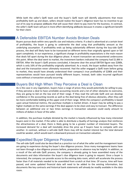While both the seller's QofE team and the buyer's QofE team will identify adjustments that move profitability both up and down, sellers should realize the buyer's diligence team has no incentive to go out of its way to propose addbacks that will cause their client to pay more for the business. In contrast, the seller's QofE team will put in more effort identifying addbacks because it creates a significant benefit for their client.

### A Defensible EBITDA Number Avoids Broken Deals

Buyers pursue deals within very specific size and industry criteria. If a deal is advertised at a certain level of profitability, the buyer is going to underwrite the deal using that profitability amount as the underlying assumption. If profitability ends up being substantially different during the buy-side QofE process, the deal will likely have to be transacted on different terms than originally agreed upon or fall apart completely. In our experience, a significant change in profitability expectations is the main reason that deals fall apart during the due diligence phase. A recent transaction we encountered underscores this point. When the deal went to market, the investment bankers indicated the company had \$1.8M in EBITDA. After the buyer's QofE process concluded, it became clear the actual EBITDA figure was \$280k, which is only 16% of the profitability originally advertised. As a result, the buyer walked away from the deal and the transaction never ultimately recovered. Had the seller engaged a QofE team before going to market, they would have already understood their company's true profitability of \$280k and their representatives would have pursued totally different buyers. Instead, both sides incurred significant costs without a transaction actually occurring.

# Buyers Bid High When They Perceive a Deal is Clean

As is the case in any negotiation, buyers have a range of prices they would potentially be willing to pay. If they perceive a deal to have unreliable accounting records and a lot of other obstacles to overcome, they are going to bid on the low end of their range. If they read the sell-side QofE and can develop confidence in the accounting records as well as the deal being free of obvious obstacles, often they will be more comfortable bidding at the upper end of their range. While the company's profitability is based upon actual historical metrics, the purchase multiple is market driven. A buyer may be willing to pay a higher multiple on the same earnings if the deal appears to be clean and easy to transact. The difference between an additional one or two times earnings in transaction valuation could easily amount to millions of dollars in favor of the seller.

In addition, the purchase multiple dictated by the market is heavily influenced by how many interested buyers exist in the market. If the seller is able to distribute a Quality of Earnings analysis that reinforces the attractiveness of a deal, there is likely going to be a greater number of interested buyers. The increased demand for a deal will inevitably drive the price up if buyers have to compete with one another. In contrast, without a sell-side QofE there may still be market interest but the total demand could be weaker, which would exert a downward pressure on transaction valuation.

# Expedited Buyer Diligence Process

The sell-side QofE could also be described as a practice run of what the seller and the management team are going to experience during the buyer's due diligence process. Since many management teams have not been through a due diligence process before, preparation in advance may be helpful. In addition, as a result of the sell-side QofE process, the company is already going to have assembled many of the documents and data information the buyer's due diligence team is going to request. Once a buyer is interested, the company can provide access to the existing data room, which will accelerate the process faster than if all materials needed to be assembled from scratch at that time. Of course, time will have passed, and some updated financial data will need to be added to the existing information, but documents like key contracts and historical bank statements will already be readily available in the data room.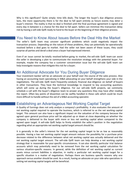Why is this significant? Quite simply: time kills deals. The longer the buyer's due diligence process lasts, the more opportunity there is for the deal to fall apart entirely as future events may deter a buyer's interest. The reality is that no deal is finished until the final purchase agreement is signed and every day in between is a chance for the deal to fall apart. Sellers can minimize this transaction delay risk by having a sell-side QofE ready to hand to the buyer at the beginning of their diligence process.

#### You Need to Know About Issues Before the Deal Hits the Market

The seller's QofE team may uncover significant problems which could negatively impact the transaction process. Depending on the nature of these problems, they can potentially be operationally resolved before a deal goes to market. Had the seller not been aware of these issues, they could surprise all parties and derail a deal once a buyer had expressed interest.

Even if an issue cannot be totally resolved before going to market, the sell-side QofE team can assist the seller in developing a plan to communicate the resolution strategy with the potential buyer. For example, maybe the company has a customer concentration issue but the sell-side QofE team can help investigate reasons that mitigate this risk for a buyer.

#### An Additional Advocate for You During Buyer Diligence

Your investment banker will be an advocate on your behalf over the course of the sales process. Also having an accounting team specializing in M&A advocating on your behalf strengthens your side in the negotiations. The sell-side QofE team frequently conducts financial due diligence on behalf of buyers in other transactions. They have the technical knowledge to respond to key accounting questions which will come up during the buyer's diligence. For our sell-side QofE projects, we commonly schedule a call with the buyer's diligence team to answer any questions they may have after reading the report. Often key points of dissention can be swiftly handled in these calls which could be much more difficult to handle without the aid of a M&A accounting specialist.

#### Establishing an Advantageous Net Working Capital Target

A Quality of Earnings does not only analyze a company's profitability. It also evaluates the amount of net working capital required to operate the business, which is referred to as the net working capital target. This amount can also have a significant impact on the valuation of the company because the agreed upon general purchase price will be adjusted up or down at close depending on whether the company is delivered to the buyer with more or less net working capital when compared to the agreed upon target. A sell-side QofE helps to firmly establish the seller's position in the negotiation regarding what an appropriate net working capital target amount should be.

It is generally in the seller's interest for the net working capital target to be as low as reasonably possible. Having a low net working capital target amount reduces the possibility for a purchase price decrease related to the difference between what net working capital was actually delivered and the net working capital target amount. The sell-side QofE team can help develop a net working capital strategy that is reasonable for your specific circumstances. It can also identify particular trial balance accounts which may potentially need to be removed from the net working capital calculation for various situation-specific reasons. In general, while the definition of net working capital as current assets minus current liabilities is objective, in reality a particular net working capital target for a specific situation is a matter of negotiation. Perhaps there are business specific reasons why one approach versus another should be used. As a result, having an advocate on your side who specializes in setting net working capital targets will be beneficial.